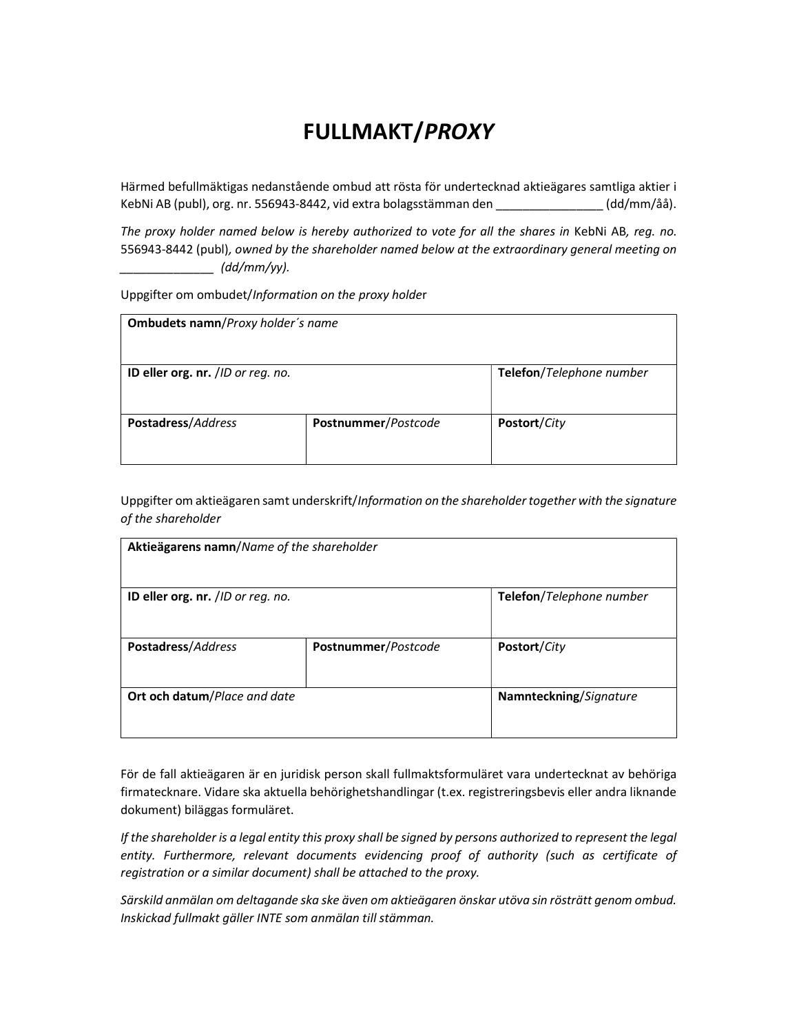## FULLMAKT/PROXY

Härmed befullmäktigas nedanstående ombud att rösta för undertecknad aktieägares samtliga aktier i KebNi AB (publ), org. nr. 556943-8442, vid extra bolagsstämman den \_\_\_\_\_\_\_\_\_\_\_\_\_\_\_\_ (dd/mm/åå).

The proxy holder named below is hereby authorized to vote for all the shares in KebNi AB, reg. no. 556943-8442 (publ), owned by the shareholder named below at the extraordinary general meeting on  $(dd/mm/yy)$ .

Uppgifter om ombudet/Information on the proxy holder

| <b>Ombudets namn/Proxy holder's name</b> |                     |                          |  |
|------------------------------------------|---------------------|--------------------------|--|
| ID eller org. nr. /ID or reg. no.        |                     | Telefon/Telephone number |  |
| Postadress/Address                       | Postnummer/Postcode | Postort/City             |  |

Uppgifter om aktieägaren samt underskrift/Information on the shareholder together with the signature of the shareholder

| Aktieägarens namn/Name of the shareholder |                     |                          |  |
|-------------------------------------------|---------------------|--------------------------|--|
| ID eller org. nr. /ID or reg. no.         |                     | Telefon/Telephone number |  |
| Postadress/Address                        | Postnummer/Postcode | Postort/City             |  |
| <b>Ort och datum/Place and date</b>       |                     | Namnteckning/Signature   |  |

För de fall aktieägaren är en juridisk person skall fullmaktsformuläret vara undertecknat av behöriga firmatecknare. Vidare ska aktuella behörighetshandlingar (t.ex. registreringsbevis eller andra liknande dokument) biläggas formuläret.

If the shareholder is a legal entity this proxy shall be signed by persons authorized to represent the legal entity. Furthermore, relevant documents evidencing proof of authority (such as certificate of registration or a similar document) shall be attached to the proxy.

Särskild anmälan om deltagande ska ske även om aktieägaren önskar utöva sin rösträtt genom ombud. Inskickad fullmakt gäller INTE som anmälan till stämman.